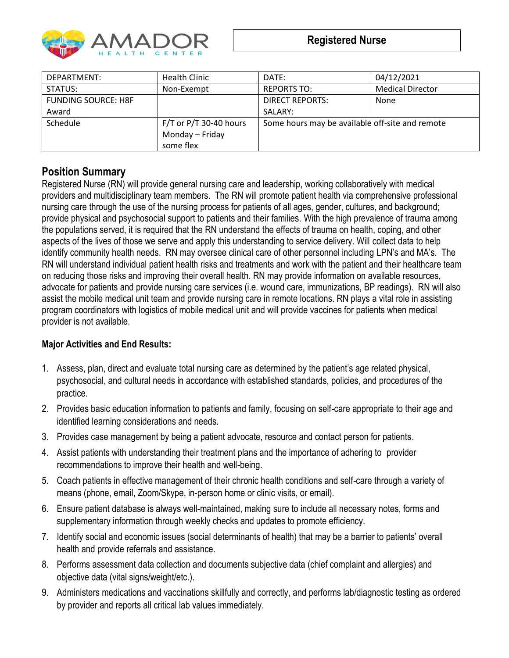

| DEPARTMENT:                | <b>Health Clinic</b>     | DATE:                                           | 04/12/2021              |
|----------------------------|--------------------------|-------------------------------------------------|-------------------------|
| STATUS:                    | Non-Exempt               | <b>REPORTS TO:</b>                              | <b>Medical Director</b> |
| <b>FUNDING SOURCE: H8F</b> |                          | <b>DIRECT REPORTS:</b>                          | None                    |
| Award                      |                          | SALARY:                                         |                         |
| <b>Schedule</b>            | $F/T$ or P/T 30-40 hours | Some hours may be available off-site and remote |                         |
|                            | Monday – Friday          |                                                 |                         |
|                            | some flex                |                                                 |                         |

# **Position Summary**

Registered Nurse (RN) will provide general nursing care and leadership, working collaboratively with medical providers and multidisciplinary team members. The RN will promote patient health via comprehensive professional nursing care through the use of the nursing process for patients of all ages, gender, cultures, and background; provide physical and psychosocial support to patients and their families. With the high prevalence of trauma among the populations served, it is required that the RN understand the effects of trauma on health, coping, and other aspects of the lives of those we serve and apply this understanding to service delivery. Will collect data to help identify community health needs. RN may oversee clinical care of other personnel including LPN's and MA's. The RN will understand individual patient health risks and treatments and work with the patient and their healthcare team on reducing those risks and improving their overall health. RN may provide information on available resources, advocate for patients and provide nursing care services (i.e. wound care, immunizations, BP readings). RN will also assist the mobile medical unit team and provide nursing care in remote locations. RN plays a vital role in assisting program coordinators with logistics of mobile medical unit and will provide vaccines for patients when medical provider is not available.

### **Major Activities and End Results:**

- 1. Assess, plan, direct and evaluate total nursing care as determined by the patient's age related physical, psychosocial, and cultural needs in accordance with established standards, policies, and procedures of the practice.
- 2. Provides basic education information to patients and family, focusing on self-care appropriate to their age and identified learning considerations and needs.
- 3. Provides case management by being a patient advocate, resource and contact person for patients.
- 4. Assist patients with understanding their treatment plans and the importance of adhering to provider recommendations to improve their health and well-being.
- 5. Coach patients in effective management of their chronic health conditions and self-care through a variety of means (phone, email, Zoom/Skype, in-person home or clinic visits, or email).
- 6. Ensure patient database is always well-maintained, making sure to include all necessary notes, forms and supplementary information through weekly checks and updates to promote efficiency.
- 7. Identify social and economic issues (social determinants of health) that may be a barrier to patients' overall health and provide referrals and assistance.
- 8. Performs assessment data collection and documents subjective data (chief complaint and allergies) and objective data (vital signs/weight/etc.).
- 9. Administers medications and vaccinations skillfully and correctly, and performs lab/diagnostic testing as ordered by provider and reports all critical lab values immediately.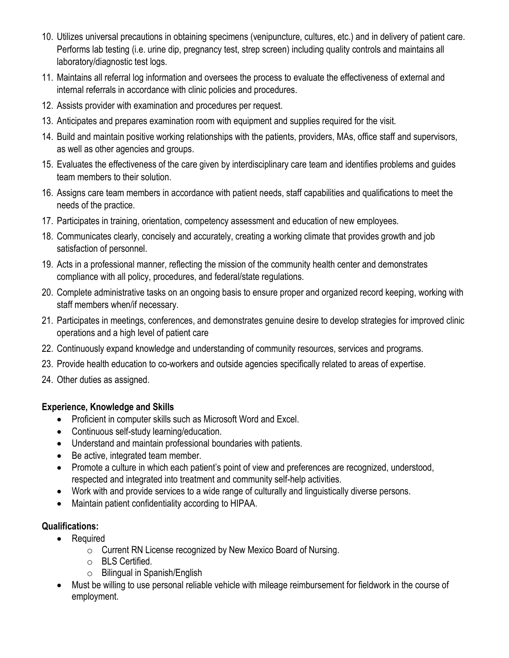- 10. Utilizes universal precautions in obtaining specimens (venipuncture, cultures, etc.) and in delivery of patient care. Performs lab testing (i.e. urine dip, pregnancy test, strep screen) including quality controls and maintains all laboratory/diagnostic test logs.
- 11. Maintains all referral log information and oversees the process to evaluate the effectiveness of external and internal referrals in accordance with clinic policies and procedures.
- 12. Assists provider with examination and procedures per request.
- 13. Anticipates and prepares examination room with equipment and supplies required for the visit.
- 14. Build and maintain positive working relationships with the patients, providers, MAs, office staff and supervisors, as well as other agencies and groups.
- 15. Evaluates the effectiveness of the care given by interdisciplinary care team and identifies problems and guides team members to their solution.
- 16. Assigns care team members in accordance with patient needs, staff capabilities and qualifications to meet the needs of the practice.
- 17. Participates in training, orientation, competency assessment and education of new employees.
- 18. Communicates clearly, concisely and accurately, creating a working climate that provides growth and job satisfaction of personnel.
- 19. Acts in a professional manner, reflecting the mission of the community health center and demonstrates compliance with all policy, procedures, and federal/state regulations.
- 20. Complete administrative tasks on an ongoing basis to ensure proper and organized record keeping, working with staff members when/if necessary.
- 21. Participates in meetings, conferences, and demonstrates genuine desire to develop strategies for improved clinic operations and a high level of patient care
- 22. Continuously expand knowledge and understanding of community resources, services and programs.
- 23. Provide health education to co-workers and outside agencies specifically related to areas of expertise.
- 24. Other duties as assigned.

## **Experience, Knowledge and Skills**

- Proficient in computer skills such as Microsoft Word and Excel.
- Continuous self-study learning/education.
- Understand and maintain professional boundaries with patients.
- Be active, integrated team member.
- Promote a culture in which each patient's point of view and preferences are recognized, understood, respected and integrated into treatment and community self-help activities.
- Work with and provide services to a wide range of culturally and linguistically diverse persons.
- Maintain patient confidentiality according to HIPAA.

## **Qualifications:**

- Required
	- o Current RN License recognized by New Mexico Board of Nursing.
	- o BLS Certified.
	- o Bilingual in Spanish/English
- Must be willing to use personal reliable vehicle with mileage reimbursement for fieldwork in the course of employment.